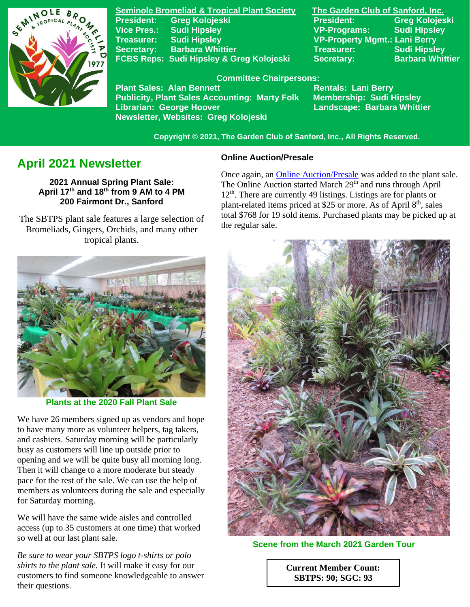

**Seminole Bromeliad & Tropical Plant Society The Garden Club of Sanford, Inc. Vice Pres.: Sudi Hipsley VP-Programs: Sudi Hipsley Treasurer: Sudi Hipsley VP-Property Mgmt.: Lani Berry Secretary:** Barbara Whittier **Network Treasurer:** Sudi Hipsley **FCBS Reps: Sudi Hipsley & Greg Kolojeski Secretary: Barbara Whittier** 

**President: Greg Kolojeski President: Greg Kolojeski** 

#### **Committee Chairpersons:**

Plant Sales: Alan Bennett<br>Publicity, Plant Sales Accounting: Marty Folk Membership: Sudi Hipsley **Publicity, Plant Sales Accounting: Marty Folk Librarian: George Hoover Landscape: Barbara Whittier Newsletter, Websites: Greg Kolojeski**

 **Copyright © 2021, The Garden Club of Sanford, Inc., All Rights Reserved.**

# **April 2021 Newsletter**

**2021 Annual Spring Plant Sale: April 17 th and 18 th from 9 AM to 4 PM 200 Fairmont Dr., Sanford**

 The SBTPS plant sale features a large selection of Bromeliads, Gingers, Orchids, and many other tropical plants.



**Plants at the 2020 Fall Plant Sale**

We have 26 members signed up as vendors and hope to have many more as volunteer helpers, tag takers, and cashiers. Saturday morning will be particularly busy as customers will line up outside prior to opening and we will be quite busy all morning long. Then it will change to a more moderate but steady pace for the rest of the sale. We can use the help of members as volunteers during the sale and especially for Saturday morning.

We will have the same wide aisles and controlled access (up to 35 customers at one time) that worked so well at our last plant sale.

*Be sure to wear your SBTPS logo t-shirts or polo shirts to the plant sale.* It will make it easy for our customers to find someone knowledgeable to answer their questions.

### **Online Auction/Presale**

Once again, an [Online Auction/Presale](https://www.32auctions.com/annualspringplantsale2021) was added to the plant sale. The Online Auction started March  $29<sup>th</sup>$  and runs through April 12<sup>th</sup>. There are currently 49 listings. Listings are for plants or plant-related items priced at \$25 or more. As of April 8<sup>th</sup>, sales total \$768 for 19 sold items. Purchased plants may be picked up at the regular sale.



**Scene from the March 2021 Garden Tour**

**Current Member Count: SBTPS: 90; SGC: 93**